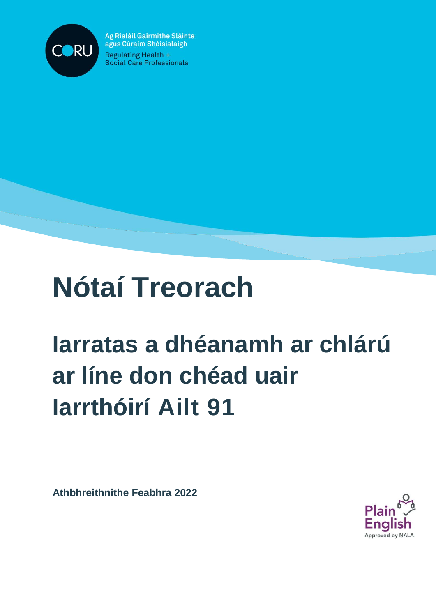

Ag Rialáil Gairmithe Sláinte agus Cúraim Shóisialaigh **Regulating Health +** Social Care Professionals

# **Nótaí Treorach**

# **Iarratas a dhéanamh ar chlárú ar líne don chéad uair Iarrthóirí Ailt 91**

**Athbhreithnithe Feabhra 2022**

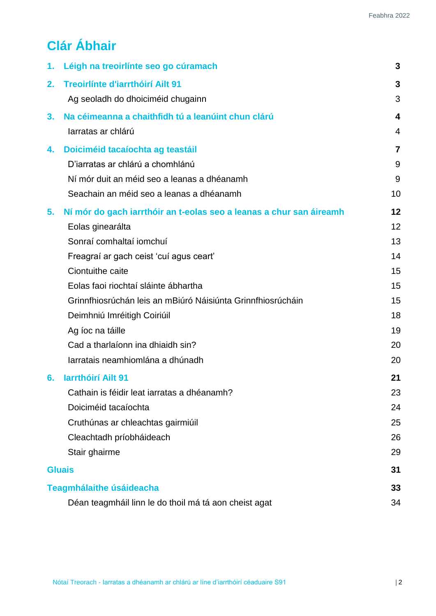# **Clár Ábhair**

| 1.                              | Léigh na treoirlínte seo go cúramach                                | 3              |
|---------------------------------|---------------------------------------------------------------------|----------------|
| 2.                              | <b>Treoirlínte d'iarrthóirí Ailt 91</b>                             | 3              |
|                                 | Ag seoladh do dhoiciméid chugainn                                   | 3              |
| 3.                              | Na céimeanna a chaithfidh tú a leanúint chun clárú                  | 4              |
|                                 | larratas ar chlárú                                                  | 4              |
| 4.                              | Doiciméid tacaíochta ag teastáil                                    | $\overline{7}$ |
|                                 | D'iarratas ar chlárú a chomhlánú                                    | 9              |
|                                 | Ní mór duit an méid seo a leanas a dhéanamh                         | 9              |
|                                 | Seachain an méid seo a leanas a dhéanamh                            | 10             |
| 5.                              | Ní mór do gach iarrthóir an t-eolas seo a leanas a chur san áireamh | 12             |
|                                 | Eolas ginearálta                                                    | 12             |
|                                 | Sonraí comhaltaí iomchuí                                            | 13             |
|                                 | Freagraí ar gach ceist 'cuí agus ceart'                             | 14             |
|                                 | Ciontuithe caite                                                    | 15             |
|                                 | Eolas faoi riochtaí sláinte ábhartha                                | 15             |
|                                 | Grinnfhiosrúchán leis an mBiúró Náisiúnta Grinnfhiosrúcháin         | 15             |
|                                 | Deimhniú Imréitigh Coiriúil                                         | 18             |
|                                 | Ag íoc na táille                                                    | 19             |
|                                 | Cad a tharlaíonn ina dhiaidh sin?                                   | 20             |
|                                 | larratais neamhiomlána a dhúnadh                                    | 20             |
| 6.                              | <b>larrthóirí Ailt 91</b>                                           | 21             |
|                                 | Cathain is féidir leat iarratas a dhéanamh?                         | 23             |
|                                 | Doiciméid tacaíochta                                                | 24             |
|                                 | Cruthúnas ar chleachtas gairmiúil                                   | 25             |
|                                 | Cleachtadh príobháideach                                            | 26             |
|                                 | Stair ghairme                                                       | 29             |
| <b>Gluais</b>                   |                                                                     |                |
| <b>Teagmhálaithe úsáideacha</b> |                                                                     |                |
|                                 | Déan teagmháil linn le do thoil má tá aon cheist agat               | 34             |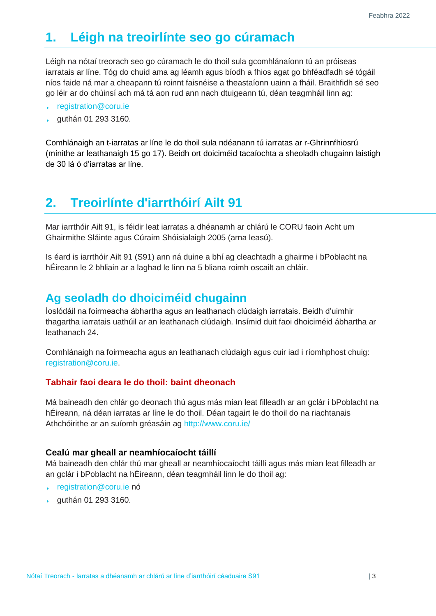# <span id="page-2-0"></span>**1. Léigh na treoirlínte seo go cúramach**

Léigh na nótaí treorach seo go cúramach le do thoil sula gcomhlánaíonn tú an próiseas iarratais ar líne. Tóg do chuid ama ag léamh agus bíodh a fhios agat go bhféadfadh sé tógáil níos faide ná mar a cheapann tú roinnt faisnéise a theastaíonn uainn a fháil. Braithfidh sé seo go léir ar do chúinsí ach má tá aon rud ann nach dtuigeann tú, déan teagmháil linn ag:

- [registration@coru.ie](mailto:registration@coru.ie)
- guthán 01 293 3160.  $\mathbf{v}$

Comhlánaigh an t-iarratas ar líne le do thoil sula ndéanann tú iarratas ar r-Ghrinnfhiosrú (mínithe ar leathanaigh 15 go 17). Beidh ort doiciméid tacaíochta a sheoladh chugainn laistigh de 30 lá ó d'iarratas ar líne.

## <span id="page-2-1"></span>**2. Treoirlínte d'iarrthóirí Ailt 91**

Mar iarrthóir Ailt 91, is féidir leat iarratas a dhéanamh ar chlárú le CORU faoin Acht um Ghairmithe Sláinte agus Cúraim Shóisialaigh 2005 (arna leasú).

Is éard is iarrthóir Ailt 91 (S91) ann ná duine a bhí ag cleachtadh a ghairme i bPoblacht na hÉireann le 2 bhliain ar a laghad le linn na 5 bliana roimh oscailt an chláir.

## <span id="page-2-2"></span>**Ag seoladh do dhoiciméid chugainn**

Íoslódáil na foirmeacha ábhartha agus an leathanach clúdaigh iarratais. Beidh d'uimhir thagartha iarratais uathúil ar an leathanach clúdaigh. Insímid duit faoi dhoiciméid ábhartha ar leathanach 24.

Comhlánaigh na foirmeacha agus an leathanach clúdaigh agus cuir iad i ríomhphost chuig: [registration@coru.ie.](mailto:registration@coru.ie)

#### **Tabhair faoi deara le do thoil: baint dheonach**

Má baineadh den chlár go deonach thú agus más mian leat filleadh ar an gclár i bPoblacht na hÉireann, ná déan iarratas ar líne le do thoil. Déan tagairt le do thoil do na riachtanais Athchóirithe ar an suíomh gréasáin ag<http://www.coru.ie/>

#### **Cealú mar gheall ar neamhíocaíocht táillí**

Má baineadh den chlár thú mar gheall ar neamhíocaíocht táillí agus más mian leat filleadh ar an gclár i bPoblacht na hÉireann, déan teagmháil linn le do thoil ag:

- [registration@coru.ie n](mailto:registration@coru.ie)ó
- guthán 01 293 3160.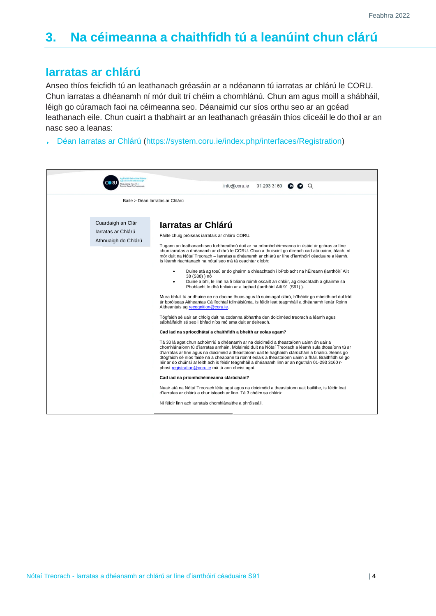# <span id="page-3-0"></span>**3. Na céimeanna a chaithfidh tú a leanúint chun clárú**

#### <span id="page-3-1"></span>**Iarratas ar chlárú**

Anseo thíos feicfidh tú an leathanach gréasáin ar a ndéanann tú iarratas ar chlárú le CORU. Chun iarratas a dhéanamh ní mór duit trí chéim a chomhlánú. Chun am agus moill a shábháil, léigh go cúramach faoi na céimeanna seo. Déanaimid cur síos orthu seo ar an gcéad leathanach eile. Chun cuairt a thabhairt ar an leathanach gréasáin thíos cliceáil le do thoil ar an nasc seo a leanas:

[Déan Iarratas ar Chlárú](https://system.coru.ie/index.php/interfaces/Registration) [\(https://system.coru.ie/index.php/interfaces/Registration\)](https://system.coru.ie/index.php/interfaces/Registration)

| <b>Rialäil Gairmithe Stäint</b>                                |                                                                                                                                                                                                                                                                                                                                                                                                                                                                                                                                                                                                                                                                                                                                                                                                                                                                                                                                                                                                                                                                                                                                                                                                                                                                                                                                                                                                                                                                                                                                                                                                                                                                                                                                                                                                                                                                                                                                                                                                                                                                    |  |  |
|----------------------------------------------------------------|--------------------------------------------------------------------------------------------------------------------------------------------------------------------------------------------------------------------------------------------------------------------------------------------------------------------------------------------------------------------------------------------------------------------------------------------------------------------------------------------------------------------------------------------------------------------------------------------------------------------------------------------------------------------------------------------------------------------------------------------------------------------------------------------------------------------------------------------------------------------------------------------------------------------------------------------------------------------------------------------------------------------------------------------------------------------------------------------------------------------------------------------------------------------------------------------------------------------------------------------------------------------------------------------------------------------------------------------------------------------------------------------------------------------------------------------------------------------------------------------------------------------------------------------------------------------------------------------------------------------------------------------------------------------------------------------------------------------------------------------------------------------------------------------------------------------------------------------------------------------------------------------------------------------------------------------------------------------------------------------------------------------------------------------------------------------|--|--|
| Regulating Health +<br>ial Care Professionals                  | 01 293 3160<br>info@coru.ie<br>$\bullet$ $\circ$<br>$\mathbf{in}$                                                                                                                                                                                                                                                                                                                                                                                                                                                                                                                                                                                                                                                                                                                                                                                                                                                                                                                                                                                                                                                                                                                                                                                                                                                                                                                                                                                                                                                                                                                                                                                                                                                                                                                                                                                                                                                                                                                                                                                                  |  |  |
|                                                                | Baile > Déan Iarratas ar Chlárú                                                                                                                                                                                                                                                                                                                                                                                                                                                                                                                                                                                                                                                                                                                                                                                                                                                                                                                                                                                                                                                                                                                                                                                                                                                                                                                                                                                                                                                                                                                                                                                                                                                                                                                                                                                                                                                                                                                                                                                                                                    |  |  |
| Cuardaigh an Clár<br>larratas ar Chlárú<br>Athnuaigh do Chlárú | Jarratas ar Chlárú<br>Fáilte chuig próiseas iarratais ar chlárú CORU.<br>Tugann an leathanach seo forbhreathnú duit ar na príomhchéimeanna in úsáid ár gcóras ar líne<br>chun iarratas a dhéanamh ar chlárú le CORU. Chun a thuiscint go díreach cad atá uainn, áfach, ní<br>mór duit na Nótaí Treorach – Iarratas a dhéanamh ar chlárú ar líne d'iarrthóirí céaduaire a léamh.<br>Is léamh riachtanach na nótaí seo má tá ceachtar díobh:<br>Duine atá ag tosú ar do ghairm a chleachtadh i bPoblacht na hÉireann (iarrthóirí Ailt<br>$\bullet$<br>38 (S38)) nó<br>Duine a bhí, le linn na 5 bliana roimh oscailt an chláir, ag cleachtadh a ghairme sa<br>Phoblacht le dhá bhliain ar a laghad (iarrthóirí Ailt 91 (S91)).<br>Mura bhfuil tú ar dhuine de na daoine thuas agus tá suim agat clárú, b'fhéidir go mbeidh ort dul tríd<br>ár bpróiseas Aitheantas Cáilíochtaí Idirnáisiúnta. Is féidir leat teagmháil a dhéanamh lenár Roinn<br>Aitheantais ag recognition@coru.ie.<br>Tógfaidh sé uair an chloig duit na codanna ábhartha den doiciméad treorach a léamh agus<br>sábhálfaidh sé seo i bhfad níos mó ama duit ar deireadh.<br>Cad iad na spriocdhátaí a chaithfidh a bheith ar eolas agam?<br>Tá 30 lá agat chun achoimriú a dhéanamh ar na doiciméid a theastaíonn uainn ón uair a<br>chomhlánaíonn tú d'iarratas amháin. Molaimid duit na Nótaí Treorach a léamh sula dtosaíonn tú ar<br>d'iarratas ar líne agus na doiciméid a theastaíonn uait le haghaidh clárúcháin a bhailiú. Seans go<br>dtógfaidh sé níos faide ná a cheapann tú roinnt eolais a theastaíonn uainn a fháil. Braithfidh sé go<br>léir ar do chúinsí ar leith ach is féidir teagmháil a dhéanamh linn ar an nguthán 01-293 3160 r-<br>phost registration@coru.ie má tá aon cheist agat.<br>Cad iad na príomhchéimeanna clárúcháin?<br>Nuair atá na Nótaí Treorach léite agat agus na doiciméid a theastaíonn uait bailithe, is féidir leat<br>d'iarratas ar chlárú a chur isteach ar líne. Tá 3 chéim sa chlárú:<br>Ní féidir linn ach iarratais chomhlánaithe a phróiseáil. |  |  |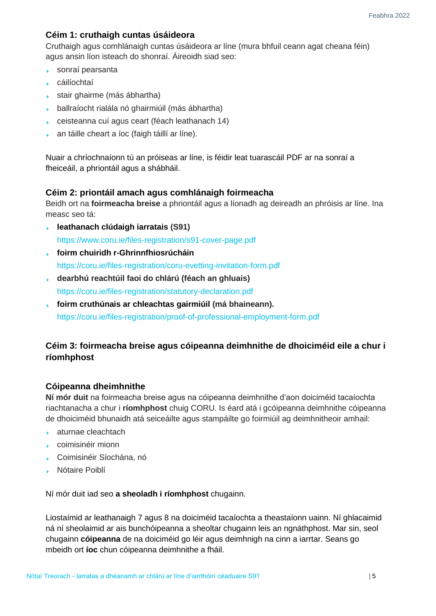#### **Céim 1: cruthaigh cuntas úsáideora**

Cruthaigh agus comhlánaigh cuntas úsáideora ar líne (mura bhfuil ceann agat cheana féin) agus ansin líon isteach do shonraí. Áireoidh siad seo:

- sonraí pearsanta
- cáilíochtaí
- ▶ stair ghairme (más ábhartha)
- ballraíocht rialála nó ghairmiúil (más ábhartha)
- ceisteanna cuí agus ceart (féach leathanach 14)
- an táille cheart a íoc (faigh táillí ar líne).  $\mathbf{F}^{\text{max}}$

Nuair a chríochnaíonn tú an próiseas ar líne, is féidir leat tuarascáil PDF ar na sonraí a fheiceáil, a phriontáil agus a shábháil.

#### **Céim 2: priontáil amach agus comhlánaigh foirmeacha**

Beidh ort na **foirmeacha breise** a phriontáil agus a líonadh ag deireadh an phróisis ar líne. Ina measc seo tá:

- **[leathanach clúdaigh iarratais](https://www.coru.ie/files-registration/s91-cover-page.pdf) (S91)**  <https://www.coru.ie/files-registration/s91-cover-page.pdf>
- **[foirm chuiridh r-Ghrinnfhiosrúcháin](https://coru.ie/files-registration/coru-evetting-invitation-form.pdf)** <https://coru.ie/files-registration/coru-evetting-invitation-form.pdf>
- **dearbhú reachtúil faoi do chlárú (féach an ghluais)** <https://coru.ie/files-registration/statutory-declaration.pdf>
- **[foirm cruthúnais ar chleachtas gairmiúil](https://coru.ie/files-registration/proof-of-professional-employment-form.pdf) (má bhaineann).** <https://coru.ie/files-registration/proof-of-professional-employment-form.pdf>

#### **Céim 3: foirmeacha breise agus cóipeanna deimhnithe de dhoiciméid eile a chur i ríomhphost**

#### **Cóipeanna dheimhnithe**

**Ní mór duit** na foirmeacha breise agus na cóipeanna deimhnithe d'aon doiciméid tacaíochta riachtanacha a chur i **ríomhphost** chuig CORU. Is éard atá i gcóipeanna deimhnithe cóipeanna de dhoiciméid bhunaidh atá seiceáilte agus stampáilte go foirmiúil ag deimhnitheoir amhail:

- **aturnae cleachtach**
- coimisinéir mionn
- Coimisinéir Síochána, nó
- Nótaire Poiblí

Ní mór duit iad seo **a sheoladh i ríomhphost** chugainn.

Liostaímid ar leathanaigh 7 agus 8 na doiciméid tacaíochta a theastaíonn uainn. Ní ghlacaimid ná ní sheolaimid ar ais bunchóipeanna a sheoltar chugainn leis an ngnáthphost. Mar sin, seol chugainn **cóipeanna** de na doiciméid go léir agus deimhnigh na cinn a iarrtar. Seans go mbeidh ort **íoc** chun cóipeanna deimhnithe a fháil.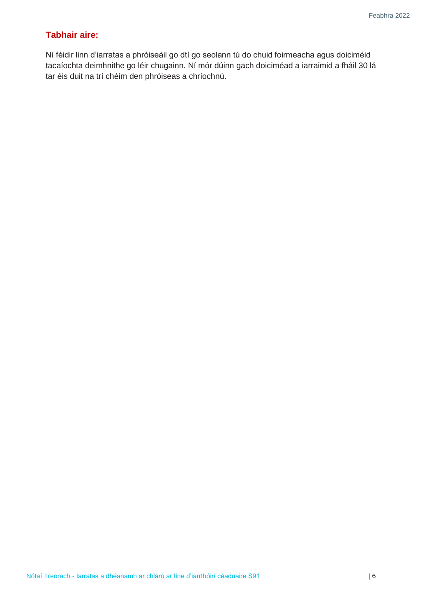#### **Tabhair aire:**

Ní féidir linn d'iarratas a phróiseáil go dtí go seolann tú do chuid foirmeacha agus doiciméid tacaíochta deimhnithe go léir chugainn. Ní mór dúinn gach doiciméad a iarraimid a fháil 30 lá tar éis duit na trí chéim den phróiseas a chríochnú.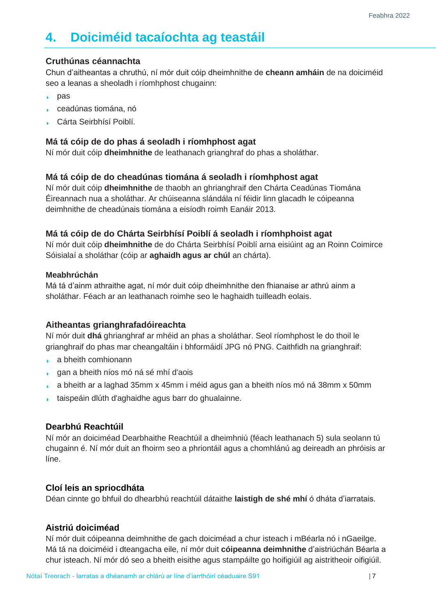# <span id="page-6-0"></span>**4. Doiciméid tacaíochta ag teastáil**

#### **Cruthúnas céannachta**

Chun d'aitheantas a chruthú, ní mór duit cóip dheimhnithe de **cheann amháin** de na doiciméid seo a leanas a sheoladh i ríomhphost chugainn:

- $\rho$ as
- ceadúnas tiomána, nó
- Cárta Seirbhísí Poiblí.

#### **Má tá cóip de do phas á seoladh i ríomhphost agat**

Ní mór duit cóip **dheimhnithe** de leathanach grianghraf do phas a sholáthar.

#### **Má tá cóip de do cheadúnas tiomána á seoladh i ríomhphost agat**

Ní mór duit cóip **dheimhnithe** de thaobh an ghrianghraif den Chárta Ceadúnas Tiomána Éireannach nua a sholáthar. Ar chúiseanna slándála ní féidir linn glacadh le cóipeanna deimhnithe de cheadúnais tiomána a eisíodh roimh Eanáir 2013.

#### **Má tá cóip de do Chárta Seirbhísí Poiblí á seoladh i ríomhphoist agat**

Ní mór duit cóip **dheimhnithe** de do Chárta Seirbhísí Poiblí arna eisiúint ag an Roinn Coimirce Sóisialaí a sholáthar (cóip ar **aghaidh agus ar chúl** an chárta).

#### **Meabhrúchán**

Má tá d'ainm athraithe agat, ní mór duit cóip dheimhnithe den fhianaise ar athrú ainm a sholáthar. Féach ar an leathanach roimhe seo le haghaidh tuilleadh eolais.

#### **Aitheantas grianghrafadóireachta**

Ní mór duit **dhá** ghrianghraf ar mhéid an phas a sholáthar. Seol ríomhphost le do thoil le grianghraif do phas mar cheangaltáin i bhformáidí JPG nó PNG. Caithfidh na grianghraif:

- **a** bheith comhionann
- gan a bheith níos mó ná sé mhí d'aois
- a bheith ar a laghad 35mm x 45mm i méid agus gan a bheith níos mó ná 38mm x 50mm
- taispeáin dlúth d'aghaidhe agus barr do ghualainne. k.

#### **Dearbhú Reachtúil**

Ní mór an doiciméad Dearbhaithe Reachtúil a dheimhniú (féach leathanach 5) sula seolann tú chugainn é. Ní mór duit an fhoirm seo a phriontáil agus a chomhlánú ag deireadh an phróisis ar líne.

#### **Cloí leis an spriocdháta**

Déan cinnte go bhfuil do dhearbhú reachtúil dátaithe **laistigh de shé mhí** ó dháta d'iarratais.

#### **Aistriú doiciméad**

Ní mór duit cóipeanna deimhnithe de gach doiciméad a chur isteach i mBéarla nó i nGaeilge. Má tá na doiciméid i dteangacha eile, ní mór duit **cóipeanna deimhnithe** d'aistriúchán Béarla a chur isteach. Ní mór dó seo a bheith eisithe agus stampáilte go hoifigiúil ag aistritheoir oifigiúil.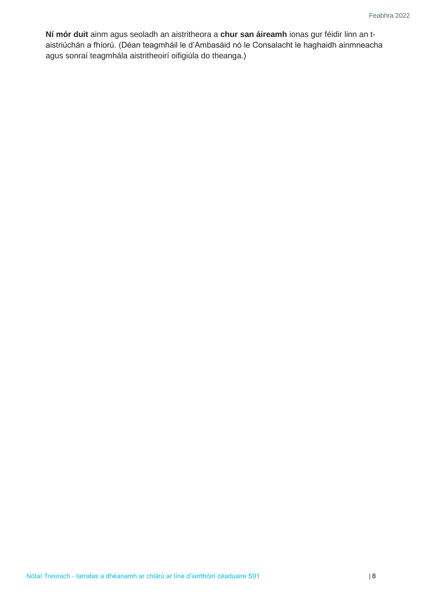**Ní mór duit** ainm agus seoladh an aistritheora a **chur san áireamh** ionas gur féidir linn an taistriúchán a fhíorú. (Déan teagmháil le d'Ambasáid nó le Consalacht le haghaidh ainmneacha agus sonraí teagmhála aistritheoirí oifigiúla do theanga.)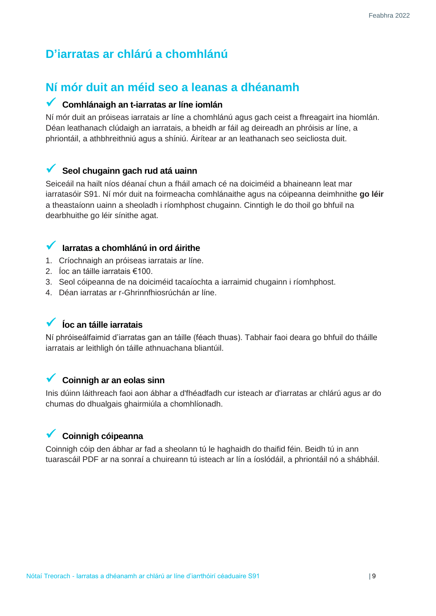## <span id="page-8-1"></span><span id="page-8-0"></span>**D'iarratas ar chlárú a chomhlánú**

## **Ní mór duit an méid seo a leanas a dhéanamh**

#### **Comhlánaigh an t-iarratas ar líne iomlán**

Ní mór duit an próiseas iarratais ar líne a chomhlánú agus gach ceist a fhreagairt ina hiomlán. Déan leathanach clúdaigh an iarratais, a bheidh ar fáil ag deireadh an phróisis ar líne, a phriontáil, a athbhreithniú agus a shíniú. Áirítear ar an leathanach seo seicliosta duit.

#### **Seol chugainn gach rud atá uainn**

Seiceáil na hailt níos déanaí chun a fháil amach cé na doiciméid a bhaineann leat mar iarratasóir S91. Ní mór duit na foirmeacha comhlánaithe agus na cóipeanna deimhnithe **go léir**  a theastaíonn uainn a sheoladh i ríomhphost chugainn. Cinntigh le do thoil go bhfuil na dearbhuithe go léir sínithe agat.

#### **Iarratas a chomhlánú in ord áirithe**

- 1. Críochnaigh an próiseas iarratais ar líne.
- 2. Íoc an táille iarratais €100.
- 3. Seol cóipeanna de na doiciméid tacaíochta a iarraimid chugainn i ríomhphost.
- 4. Déan iarratas ar r-Ghrinnfhiosrúchán ar líne.

#### **Íoc an táille iarratais**

Ní phróiseálfaimid d'iarratas gan an táille (féach thuas). Tabhair faoi deara go bhfuil do tháille iarratais ar leithligh ón táille athnuachana bliantúil.

## **Coinnigh ar an eolas sinn**

Inis dúinn láithreach faoi aon ábhar a d'fhéadfadh cur isteach ar d'iarratas ar chlárú agus ar do chumas do dhualgais ghairmiúla a chomhlíonadh.

## **Coinnigh cóipeanna**

Coinnigh cóip den ábhar ar fad a sheolann tú le haghaidh do thaifid féin. Beidh tú in ann tuarascáil PDF ar na sonraí a chuireann tú isteach ar lín a íoslódáil, a phriontáil nó a shábháil.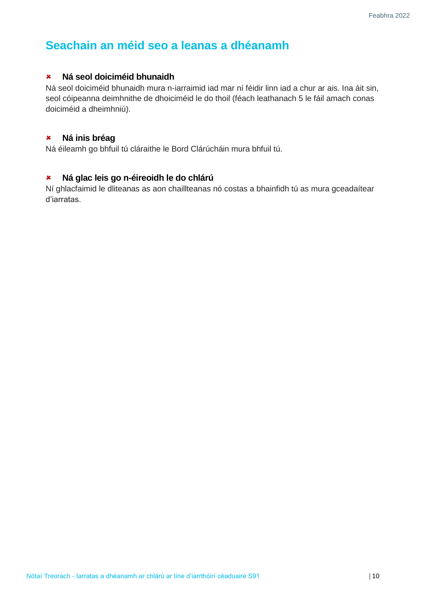## <span id="page-9-0"></span>**Seachain an méid seo a leanas a dhéanamh**

#### **Ná seol doiciméid bhunaidh**

Ná seol doiciméid bhunaidh mura n-iarraimid iad mar ní féidir linn iad a chur ar ais. Ina áit sin, seol cóipeanna deimhnithe de dhoiciméid le do thoil (féach leathanach 5 le fáil amach conas doiciméid a dheimhniú).

#### **Ná inis bréag**

Ná éileamh go bhfuil tú cláraithe le Bord Clárúcháin mura bhfuil tú.

#### **Ná glac leis go n-éireoidh le do chlárú**

Ní ghlacfaimid le dliteanas as aon chaillteanas nó costas a bhainfidh tú as mura gceadaítear d'iarratas.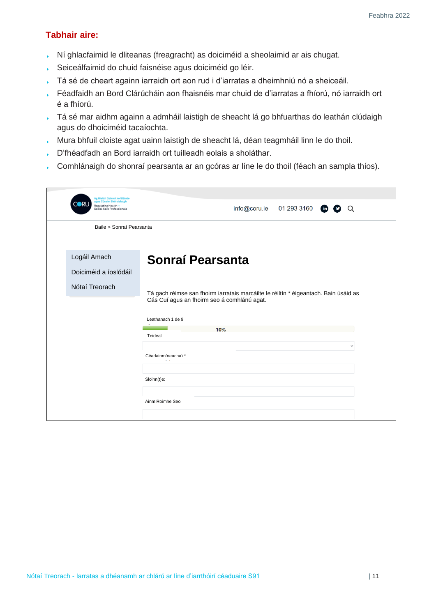#### **Tabhair aire:**

- Ní ghlacfaimid le dliteanas (freagracht) as doiciméid a sheolaimid ar ais chugat.  $\mathbf{F}^{\mathrm{max}}$
- Seiceálfaimid do chuid faisnéise agus doiciméid go léir.  $\mathbf{F}^{\pm}$
- Tá sé de cheart againn iarraidh ort aon rud i d'iarratas a dheimhniú nó a sheiceáil.
- $\mathbf{v}^{\dagger}$ Féadfaidh an Bord Clárúcháin aon fhaisnéis mar chuid de d'iarratas a fhíorú, nó iarraidh ort é a fhíorú.
- Tá sé mar aidhm againn a admháil laistigh de sheacht lá go bhfuarthas do leathán clúdaigh agus do dhoiciméid tacaíochta.
- Mura bhfuil cloiste agat uainn laistigh de sheacht lá, déan teagmháil linn le do thoil.
- D'fhéadfadh an Bord iarraidh ort tuilleadh eolais a sholáthar.
- Comhlánaigh do shonraí pearsanta ar an gcóras ar líne le do thoil (féach an sampla thíos).

| 01 293 3160<br>info@coru.ie<br>$\binom{m}{n}$<br>Q                                                                                  |
|-------------------------------------------------------------------------------------------------------------------------------------|
| Baile > Sonraí Pearsanta                                                                                                            |
| Sonraí Pearsanta                                                                                                                    |
| Tá gach réimse san fhoirm iarratais marcáilte le réiltín * éigeantach. Bain úsáid as<br>Cás Cuí agus an fhoirm seo á comhlánú agat. |
| Leathanach 1 de 9<br>10%<br>Teideal                                                                                                 |
| $\check{ }$<br>Céadainm(neacha) *<br>$\mathbf{x} \in \mathcal{X}$                                                                   |
| Sloinn(t)e:                                                                                                                         |
| Ainm Roimhe Seo                                                                                                                     |
|                                                                                                                                     |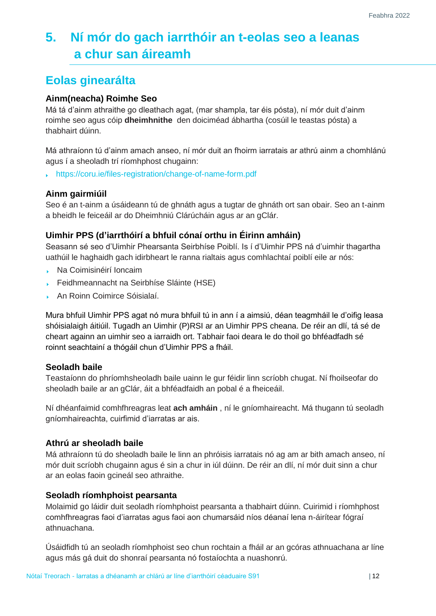# <span id="page-11-0"></span>**5. Ní mór do gach iarrthóir an t-eolas seo a leanas a chur san áireamh**

## <span id="page-11-1"></span>**Eolas ginearálta**

#### **Ainm(neacha) Roimhe Seo**

Má tá d'ainm athraithe go dleathach agat, (mar shampla, tar éis pósta), ní mór duit d'ainm roimhe seo agus cóip **dheimhnithe** den doiciméad ábhartha (cosúil le teastas pósta) a thabhairt dúinn.

Má athraíonn tú d'ainm amach anseo, ní mór duit an fhoirm iarratais ar athrú ainm a chomhlánú agus í a sheoladh trí ríomhphost chugainn:

<https://coru.ie/files-registration/change-of-name-form.pdf>

#### **Ainm gairmiúil**

Seo é an t-ainm a úsáideann tú de ghnáth agus a tugtar de ghnáth ort san obair. Seo an t-ainm a bheidh le feiceáil ar do Dheimhniú Clárúcháin agus ar an gClár.

#### **Uimhir PPS (d'iarrthóirí a bhfuil cónaí orthu in Éirinn amháin)**

Seasann sé seo d'Uimhir Phearsanta Seirbhíse Poiblí. Is í d'Uimhir PPS ná d'uimhir thagartha uathúil le haghaidh gach idirbheart le ranna rialtais agus comhlachtaí poiblí eile ar nós:

- Na Coimisinéirí Ioncaim
- k. Feidhmeannacht na Seirbhíse Sláinte (HSE)
- An Roinn Coimirce Sóisialaí.

Mura bhfuil Uimhir PPS agat nó mura bhfuil tú in ann í a aimsiú, déan teagmháil le d'oifig leasa shóisialaigh áitiúil. Tugadh an Uimhir (P)RSI ar an Uimhir PPS cheana. De réir an dlí, tá sé de cheart againn an uimhir seo a iarraidh ort. Tabhair faoi deara le do thoil go bhféadfadh sé roinnt seachtainí a thógáil chun d'Uimhir PPS a fháil.

#### **Seoladh baile**

Teastaíonn do phríomhsheoladh baile uainn le gur féidir linn scríobh chugat. Ní fhoilseofar do sheoladh baile ar an gClár, áit a bhféadfaidh an pobal é a fheiceáil.

Ní dhéanfaimid comhfhreagras leat **ach amháin** , ní le gníomhaireacht. Má thugann tú seoladh gníomhaireachta, cuirfimid d'iarratas ar ais.

#### **Athrú ar sheoladh baile**

Má athraíonn tú do sheoladh baile le linn an phróisis iarratais nó ag am ar bith amach anseo, ní mór duit scríobh chugainn agus é sin a chur in iúl dúinn. De réir an dlí, ní mór duit sinn a chur ar an eolas faoin gcineál seo athraithe.

#### **Seoladh ríomhphoist pearsanta**

Molaimid go láidir duit seoladh ríomhphoist pearsanta a thabhairt dúinn. Cuirimid i ríomhphost comhfhreagras faoi d'iarratas agus faoi aon chumarsáid níos déanaí lena n-áirítear fógraí athnuachana.

Úsáidfidh tú an seoladh ríomhphoist seo chun rochtain a fháil ar an gcóras athnuachana ar líne agus más gá duit do shonraí pearsanta nó fostaíochta a nuashonrú.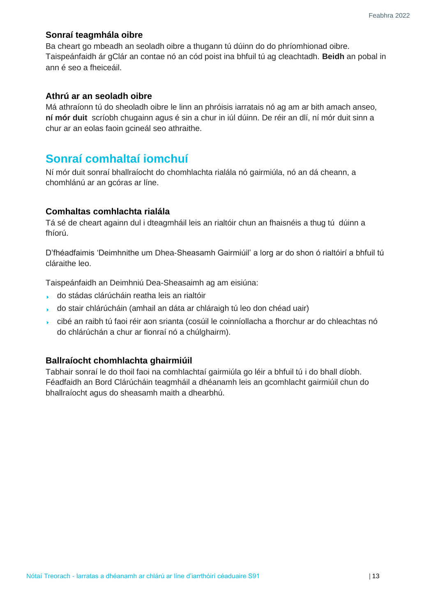#### **Sonraí teagmhála oibre**

Ba cheart go mbeadh an seoladh oibre a thugann tú dúinn do do phríomhionad oibre. Taispeánfaidh ár gClár an contae nó an cód poist ina bhfuil tú ag cleachtadh. **Beidh** an pobal in ann é seo a fheiceáil.

#### **Athrú ar an seoladh oibre**

Má athraíonn tú do sheoladh oibre le linn an phróisis iarratais nó ag am ar bith amach anseo, **ní mór duit** scríobh chugainn agus é sin a chur in iúl dúinn. De réir an dlí, ní mór duit sinn a chur ar an eolas faoin gcineál seo athraithe.

## <span id="page-12-0"></span>**Sonraí comhaltaí iomchuí**

Ní mór duit sonraí bhallraíocht do chomhlachta rialála nó gairmiúla, nó an dá cheann, a chomhlánú ar an gcóras ar líne.

#### **Comhaltas comhlachta rialála**

Tá sé de cheart againn dul i dteagmháil leis an rialtóir chun an fhaisnéis a thug tú dúinn a fhíorú.

D'fhéadfaimis 'Deimhnithe um Dhea-Sheasamh Gairmiúil' a lorg ar do shon ó rialtóirí a bhfuil tú cláraithe leo.

Taispeánfaidh an Deimhniú Dea-Sheasaimh ag am eisiúna:

- do stádas clárúcháin reatha leis an rialtóir
- do stair chlárúcháin (amhail an dáta ar chláraigh tú leo don chéad uair)
- cibé an raibh tú faoi réir aon srianta (cosúil le coinníollacha a fhorchur ar do chleachtas nó do chlárúchán a chur ar fionraí nó a chúlghairm).

#### **Ballraíocht chomhlachta ghairmiúil**

Tabhair sonraí le do thoil faoi na comhlachtaí gairmiúla go léir a bhfuil tú i do bhall díobh. Féadfaidh an Bord Clárúcháin teagmháil a dhéanamh leis an gcomhlacht gairmiúil chun do bhallraíocht agus do sheasamh maith a dhearbhú.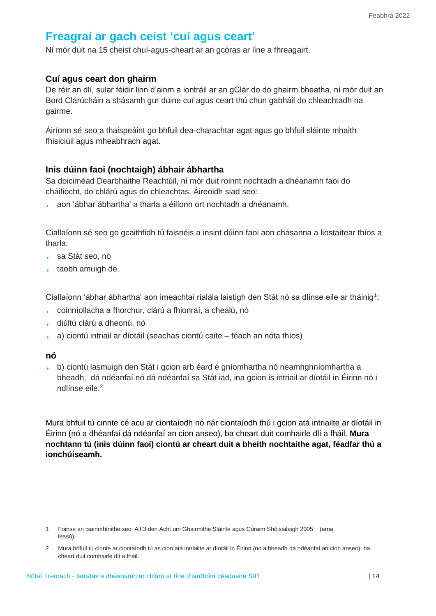## <span id="page-13-0"></span>**Freagraí ar gach ceist 'cuí agus ceart'**

Ní mór duit na 15 cheist chuí-agus-cheart ar an gcóras ar líne a fhreagairt.

#### **Cuí agus ceart don ghairm**

De réir an dlí, sular féidir linn d'ainm a iontráil ar an gClár do do ghairm bheatha, ní mór duit an Bord Clárúcháin a shásamh gur duine cuí agus ceart thú chun gabháil do chleachtadh na gairme.

Áiríonn sé seo a thaispeáint go bhfuil dea-charachtar agat agus go bhfuil sláinte mhaith fhisiciúil agus mheabhrach agat.

#### **Inis dúinn faoi (nochtaigh) ábhair ábhartha**

Sa doiciméad Dearbhaithe Reachtúil, ní mór duit roinnt nochtadh a dhéanamh faoi do cháilíocht, do chlárú agus do chleachtas. Áireoidh siad seo:

aon 'ábhar ábhartha' a tharla a éilíonn ort nochtadh a dhéanamh.

Ciallaíonn sé seo go gcaithfidh tú faisnéis a insint dúinn faoi aon chásanna a liostaítear thíos a tharla:

- sa Stát seo, nó
- **taobh amuigh de.**

Ciallaíonn 'ábhar ábhartha' aon imeachtaí rialála laistigh den Stát nó sa dlínse eile ar tháinig $^{\rm 1}$ :

- coinníollacha a fhorchur, clárú a fhionraí, a chealú, nó
- diúltú clárú a dheonú, nó
- a) ciontú intriail ar díotáil (seachas ciontú caite féach an nóta thíos)

#### **nó**

b) ciontú lasmuigh den Stát i gcion arb éard é gníomhartha nó neamhghníomhartha a bheadh, dá ndéanfaí nó dá ndéanfaí sa Stát iad, ina gcion is intriail ar díotáil in Éirinn nó i ndlínse eile.<sup>2</sup>

Mura bhfuil tú cinnte cé acu ar ciontaíodh nó nár ciontaíodh thú i gcion atá intriailte ar díotáil in Éirinn (nó a dhéanfaí dá ndéanfaí an cion anseo), ba cheart duit comhairle dlí a fháil. **Mura nochtann tú (inis dúinn faoi) ciontú ar cheart duit a bheith nochtaithe agat, féadfar thú a ionchúiseamh.**

<sup>1</sup> Foinse an tsainmhínithe seo: Alt 3 den Acht um Ghairmithe Sláinte agus Cúraim Shóisialaigh 2005 (arna leasú).

<sup>2</sup> Mura bhfuil tú cinnte ar ciontaíodh tú as cion atá intriailte ar díotáil in Éirinn (nó a bheadh dá ndéanfaí an cion anseo), ba cheart duit comhairle dlí a fháil.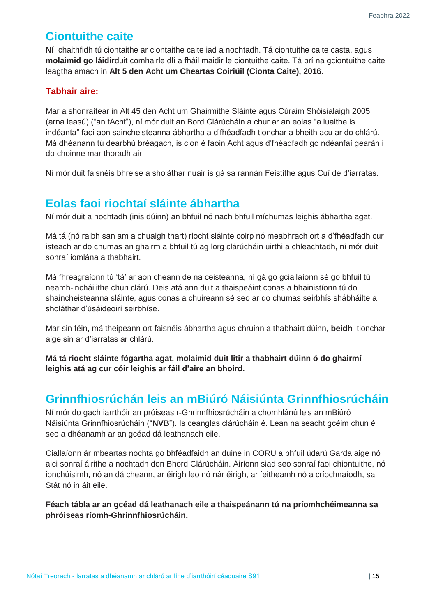## <span id="page-14-0"></span>**Ciontuithe caite**

**Ní** chaithfidh tú ciontaithe ar ciontaithe caite iad a nochtadh. Tá ciontuithe caite casta, agus **molaimid go láidir**duit comhairle dlí a fháil maidir le ciontuithe caite. Tá brí na gciontuithe caite leagtha amach in **Alt 5 den Acht um Cheartas Coiriúil (Cionta Caite), 2016.**

#### **Tabhair aire:**

Mar a shonraítear in Alt 45 den Acht um Ghairmithe Sláinte agus Cúraim Shóisialaigh 2005 (arna leasú) ("an tAcht"), ní mór duit an Bord Clárúcháin a chur ar an eolas "a luaithe is indéanta" faoi aon saincheisteanna ábhartha a d'fhéadfadh tionchar a bheith acu ar do chlárú. Má dhéanann tú dearbhú bréagach, is cion é faoin Acht agus d'fhéadfadh go ndéanfaí gearán i do choinne mar thoradh air.

Ní mór duit faisnéis bhreise a sholáthar nuair is gá sa rannán Feistithe agus Cuí de d'iarratas.

## <span id="page-14-1"></span>**Eolas faoi riochtaí sláinte ábhartha**

Ní mór duit a nochtadh (inis dúinn) an bhfuil nó nach bhfuil míchumas leighis ábhartha agat.

Má tá (nó raibh san am a chuaigh thart) riocht sláinte coirp nó meabhrach ort a d'fhéadfadh cur isteach ar do chumas an ghairm a bhfuil tú ag lorg clárúcháin uirthi a chleachtadh, ní mór duit sonraí iomlána a thabhairt.

Má fhreagraíonn tú 'tá' ar aon cheann de na ceisteanna, ní gá go gciallaíonn sé go bhfuil tú neamh-incháilithe chun clárú. Deis atá ann duit a thaispeáint conas a bhainistíonn tú do shaincheisteanna sláinte, agus conas a chuireann sé seo ar do chumas seirbhís shábháilte a sholáthar d'úsáideoirí seirbhíse.

Mar sin féin, má theipeann ort faisnéis ábhartha agus chruinn a thabhairt dúinn, **beidh** tionchar aige sin ar d'iarratas ar chlárú.

**Má tá riocht sláinte fógartha agat, molaimid duit litir a thabhairt dúinn ó do ghairmí leighis atá ag cur cóir leighis ar fáil d'aire an bhoird.**

## <span id="page-14-2"></span>**Grinnfhiosrúchán leis an mBiúró Náisiúnta Grinnfhiosrúcháin**

Ní mór do gach iarrthóir an próiseas r-Ghrinnfhiosrúcháin a chomhlánú leis an mBiúró Náisiúnta Grinnfhiosrúcháin ("**NVB**"). Is ceanglas clárúcháin é. Lean na seacht gcéim chun é seo a dhéanamh ar an gcéad dá leathanach eile.

Ciallaíonn ár mbeartas nochta go bhféadfaidh an duine in CORU a bhfuil údarú Garda aige nó aici sonraí áirithe a nochtadh don Bhord Clárúcháin. Áiríonn siad seo sonraí faoi chiontuithe, nó ionchúisimh, nó an dá cheann, ar éirigh leo nó nár éirigh, ar feitheamh nó a críochnaíodh, sa Stát nó in áit eile.

**Féach tábla ar an gcéad dá leathanach eile a thaispeánann tú na príomhchéimeanna sa phróiseas ríomh-Ghrinnfhiosrúcháin.**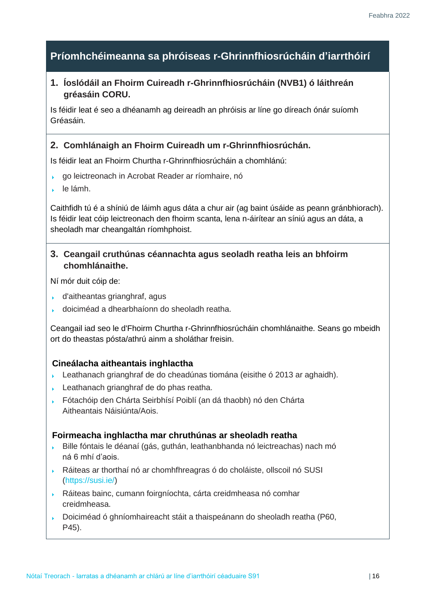## **Príomhchéimeanna sa phróiseas r-Ghrinnfhiosrúcháin d'iarrthóirí**

#### **1. Íoslódáil an Fhoirm Cuireadh r-Ghrinnfhiosrúcháin (NVB1) ó láithreán gréasáin CORU.**

Is féidir leat é seo a dhéanamh ag deireadh an phróisis ar líne go díreach ónár suíomh Gréasáin.

#### **2. Comhlánaigh an Fhoirm Cuireadh um r-Ghrinnfhiosrúchán.**

Is féidir leat an Fhoirm Churtha r-Ghrinnfhiosrúcháin a chomhlánú:

- go leictreonach in Acrobat Reader ar ríomhaire, nó
- le lámh.

Caithfidh tú é a shíniú de láimh agus dáta a chur air (ag baint úsáide as peann gránbhiorach). Is féidir leat cóip leictreonach den fhoirm scanta, lena n-áirítear an síniú agus an dáta, a sheoladh mar cheangaltán ríomhphoist.

#### **3. Ceangail cruthúnas céannachta agus seoladh reatha leis an bhfoirm chomhlánaithe.**

Ní mór duit cóip de:

- d'aitheantas grianghraf, agus
- doiciméad a dhearbhaíonn do sheoladh reatha.

Ceangail iad seo le d'Fhoirm Churtha r-Ghrinnfhiosrúcháin chomhlánaithe. Seans go mbeidh ort do theastas pósta/athrú ainm a sholáthar freisin.

#### **Cineálacha aitheantais inghlactha**

- Leathanach grianghraf de do cheadúnas tiomána (eisithe ó 2013 ar aghaidh).
- Leathanach grianghraf de do phas reatha.
- Fótachóip den Chárta Seirbhísí Poiblí (an dá thaobh) nó den Chárta Aitheantais Náisiúnta/Aois.

#### **Foirmeacha inghlactha mar chruthúnas ar sheoladh reatha**

- $\mathbf{v}$ Bille fóntais le déanaí (gás, guthán, leathanbhanda nó leictreachas) nach mó ná 6 mhí d'aois.
- Ráiteas ar thorthaí nó ar chomhfhreagras ó do choláiste, ollscoil nó [SUSI](https://susi.ie/) [\(https://susi.ie/\)](https://susi.ie/)
- Ráiteas bainc, cumann foirgníochta, cárta creidmheasa nó comhar creidmheasa.
- Doiciméad ó ghníomhaireacht stáit a thaispeánann do sheoladh reatha (P60, P45).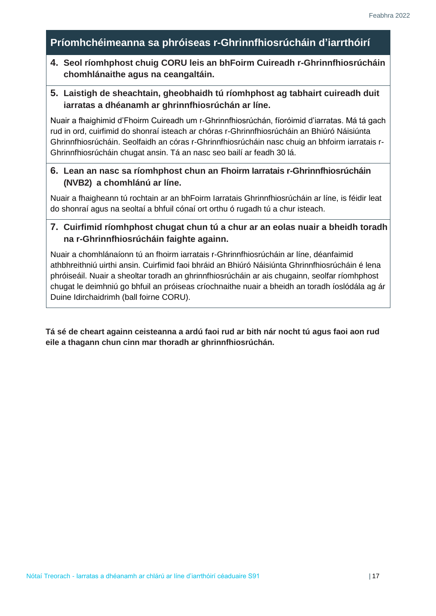## **Príomhchéimeanna sa phróiseas r-Ghrinnfhiosrúcháin d'iarrthóirí**

#### **4. Seol ríomhphost chuig CORU leis an bhFoirm Cuireadh r-Ghrinnfhiosrúcháin chomhlánaithe agus na ceangaltáin.**

#### **5. Laistigh de sheachtain, gheobhaidh tú ríomhphost ag tabhairt cuireadh duit iarratas a dhéanamh ar ghrinnfhiosrúchán ar líne.**

Nuair a fhaighimid d'Fhoirm Cuireadh um r-Ghrinnfhiosrúchán, fíoróimid d'iarratas. Má tá gach rud in ord, cuirfimid do shonraí isteach ar chóras r-Ghrinnfhiosrúcháin an Bhiúró Náisiúnta Ghrinnfhiosrúcháin. Seolfaidh an córas r-Ghrinnfhiosrúcháin nasc chuig an bhfoirm iarratais r-Ghrinnfhiosrúcháin chugat ansin. Tá an nasc seo bailí ar feadh 30 lá.

#### **6. Lean an nasc sa ríomhphost chun an Fhoirm Iarratais r-Ghrinnfhiosrúcháin (NVB2) a chomhlánú ar líne.**

Nuair a fhaigheann tú rochtain ar an bhFoirm Iarratais Ghrinnfhiosrúcháin ar líne, is féidir leat do shonraí agus na seoltaí a bhfuil cónaí ort orthu ó rugadh tú a chur isteach.

#### **7. Cuirfimid ríomhphost chugat chun tú a chur ar an eolas nuair a bheidh toradh na r-Ghrinnfhiosrúcháin faighte againn.**

Nuair a chomhlánaíonn tú an fhoirm iarratais r-Ghrinnfhiosrúcháin ar líne, déanfaimid athbhreithniú uirthi ansin. Cuirfimid faoi bhráid an Bhiúró Náisiúnta Ghrinnfhiosrúcháin é lena phróiseáil. Nuair a sheoltar toradh an ghrinnfhiosrúcháin ar ais chugainn, seolfar ríomhphost chugat le deimhniú go bhfuil an próiseas críochnaithe nuair a bheidh an toradh íoslódála ag ár Duine Idirchaidrimh (ball foirne CORU).

**Tá sé de cheart againn ceisteanna a ardú faoi rud ar bith nár nocht tú agus faoi aon rud eile a thagann chun cinn mar thoradh ar ghrinnfhiosrúchán.**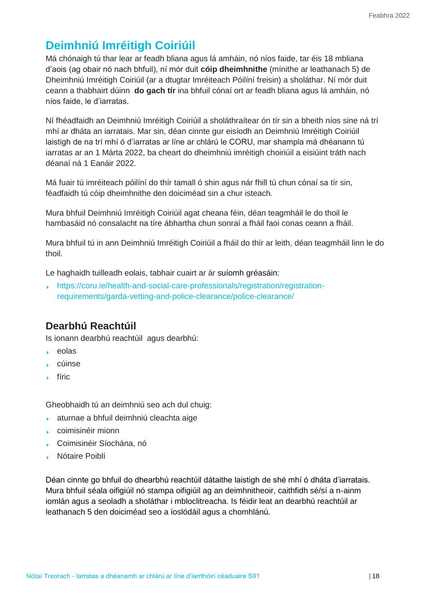## <span id="page-17-0"></span>**Deimhniú Imréitigh Coiriúil**

Má chónaigh tú thar lear ar feadh bliana agus lá amháin, nó níos faide, tar éis 18 mbliana d'aois (ag obair nó nach bhfuil), ní mór duit **cóip dheimhnithe** (mínithe ar leathanach 5) de Dheimhniú Imréitigh Coiriúil (ar a dtugtar Imréiteach Póilíní freisin) a sholáthar. Ní mór duit ceann a thabhairt dúinn **do gach tír** ina bhfuil cónaí ort ar feadh bliana agus lá amháin, nó níos faide, le d'iarratas.

Ní fhéadfaidh an Deimhniú Imréitigh Coiriúil a sholáthraítear ón tír sin a bheith níos sine ná trí mhí ar dháta an iarratais. Mar sin, déan cinnte gur eisíodh an Deimhniú Imréitigh Coiriúil laistigh de na trí mhí ó d'iarratas ar líne ar chlárú le CORU, mar shampla má dhéanann tú iarratas ar an 1 Márta 2022, ba cheart do dheimhniú imréitigh choiriúil a eisiúint tráth nach déanaí ná 1 Eanáir 2022.

Má fuair tú imréiteach póilíní do thír tamall ó shin agus nár fhill tú chun cónaí sa tír sin, féadfaidh tú cóip dheimhnithe den doiciméad sin a chur isteach.

Mura bhfuil Deimhniú Imréitigh Coiriúil agat cheana féin, déan teagmháil le do thoil le hambasáid nó consalacht na tíre ábhartha chun sonraí a fháil faoi conas ceann a fháil.

Mura bhfuil tú in ann Deimhniú Imréitigh Coiriúil a fháil do thír ar leith, déan teagmháil linn le do thoil.

Le haghaidh tuilleadh eolais, tabhair cuairt ar ár [suíomh gréasáin:](https://coru.ie/health-and-social-care-professionals/registration/registration-requirements/garda-vetting-and-police-clearance/police-clearance/)

[https://coru.ie/health-and-social-care-professionals/registration/registration](https://coru.ie/health-and-social-care-professionals/registration/registration-requirements/garda-vetting-and-police-clearance/police-clearance/)[requirements/garda-vetting-and-police-clearance/police-clearance/](https://coru.ie/health-and-social-care-professionals/registration/registration-requirements/garda-vetting-and-police-clearance/police-clearance/)

## **Dearbhú Reachtúil**

Is ionann dearbhú reachtúil agus dearbhú:

- eolas  $\mathbf{F}^{\text{max}}$
- cúinse
- **fíric**

Gheobhaidh tú an deimhniú seo ach dul chuig:

- aturnae a bhfuil deimhniú cleachta aige
- coimisinéir mionn
- Coimisinéir Síochána, nó
- Nótaire Poiblí

Déan cinnte go bhfuil do dhearbhú reachtúil dátaithe laistigh de shé mhí ó dháta d'iarratais. Mura bhfuil séala oifigiúil nó stampa oifigiúil ag an deimhnitheoir, caithfidh sé/sí a n-ainm iomlán agus a seoladh a sholáthar i mbloclitreacha. Is féidir leat an dearbhú reachtúil ar leathanach 5 den doiciméad seo a íoslódáil agus a chomhlánú.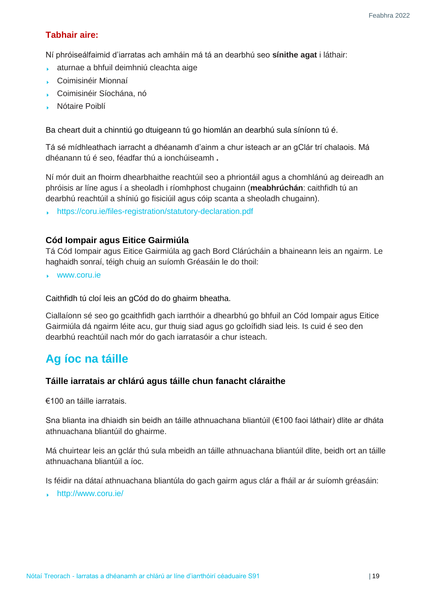#### **Tabhair aire:**

Ní phróiseálfaimid d'iarratas ach amháin má tá an dearbhú seo **sínithe agat** i láthair:

- aturnae a bhfuil deimhniú cleachta aige k.
- Coimisinéir Mionnaí
- Coimisinéir Síochána, nó
- Nótaire Poiblí

Ba cheart duit a chinntiú go dtuigeann tú go hiomlán an dearbhú sula síníonn tú é.

Tá sé mídhleathach iarracht a dhéanamh d'ainm a chur isteach ar an gClár trí chalaois. Má dhéanann tú é seo, féadfar thú a ionchúiseamh **.**

Ní mór duit an [fhoirm dhearbhaithe reachtúil](https://coru.ie/files-registration/statutory-declaration.pdf) seo a phriontáil agus a chomhlánú ag deireadh an phróisis ar líne agus í a sheoladh i ríomhphost chugainn (**meabhrúchán**: caithfidh tú an dearbhú reachtúil a shíniú go fisiciúil agus cóip scanta a sheoladh chugainn).

<https://coru.ie/files-registration/statutory-declaration.pdf>

#### **Cód Iompair agus Eitice Gairmiúla**

Tá Cód Iompair agus Eitice Gairmiúla ag gach Bord Clárúcháin a bhaineann leis an ngairm. Le haghaidh sonraí, téigh chuig an suíomh Gréasáin le do thoil:

[www.coru.ie](http://www.coru.ie/)

Caithfidh tú cloí leis an gCód do do ghairm bheatha.

Ciallaíonn sé seo go gcaithfidh gach iarrthóir a dhearbhú go bhfuil an Cód Iompair agus Eitice Gairmiúla dá ngairm léite acu, gur thuig siad agus go gcloífidh siad leis. Is cuid é seo den dearbhú reachtúil nach mór do gach iarratasóir a chur isteach.

## <span id="page-18-0"></span>**Ag íoc na táille**

#### **Táille iarratais ar chlárú agus táille chun fanacht cláraithe**

€100 an táille iarratais.

Sna blianta ina dhiaidh sin beidh an táille athnuachana bliantúil (€100 faoi láthair) dlite ar dháta athnuachana bliantúil do ghairme.

Má chuirtear leis an gclár thú sula mbeidh an táille athnuachana bliantúil dlite, beidh ort an táille athnuachana bliantúil a íoc.

Is féidir na dátaí athnuachana bliantúla do gach gairm agus clár a fháil ar ár suíomh gréasáin:

<http://www.coru.ie/>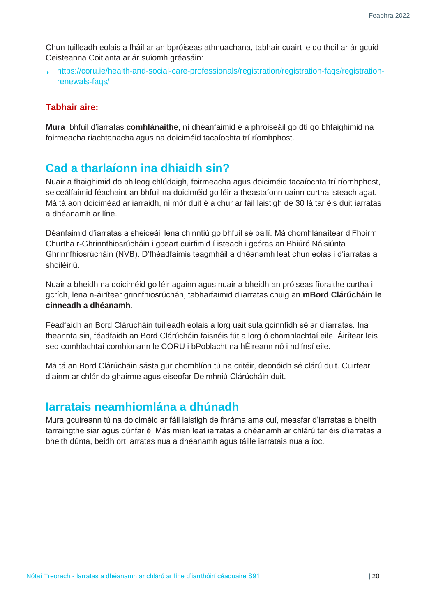Chun tuilleadh eolais a fháil ar an bpróiseas athnuachana, tabhair cuairt le do thoil ar ár gcuid Ceisteanna Coitianta ar ár suíomh gréasáin:

[https://coru.ie/health-and-social-care-professionals/registration/registration-faqs/registration](https://coru.ie/health-and-social-care-professionals/registration/registration-faqs/registration-renewals-faqs/)[renewals-faqs/](https://coru.ie/health-and-social-care-professionals/registration/registration-faqs/registration-renewals-faqs/)

#### **Tabhair aire:**

**Mura** bhfuil d'iarratas **comhlánaithe**, ní dhéanfaimid é a phróiseáil go dtí go bhfaighimid na foirmeacha riachtanacha agus na doiciméid tacaíochta trí ríomhphost.

## <span id="page-19-0"></span>**Cad a tharlaíonn ina dhiaidh sin?**

Nuair a fhaighimid do bhileog chlúdaigh, foirmeacha agus doiciméid tacaíochta trí ríomhphost, seiceálfaimid féachaint an bhfuil na doiciméid go léir a theastaíonn uainn curtha isteach agat. Má tá aon doiciméad ar iarraidh, ní mór duit é a chur ar fáil laistigh de 30 lá tar éis duit iarratas a dhéanamh ar líne.

Déanfaimid d'iarratas a sheiceáil lena chinntiú go bhfuil sé bailí. Má chomhlánaítear d'Fhoirm Churtha r-Ghrinnfhiosrúcháin i gceart cuirfimid í isteach i gcóras an Bhiúró Náisiúnta Ghrinnfhiosrúcháin (NVB). D'fhéadfaimis teagmháil a dhéanamh leat chun eolas i d'iarratas a shoiléiriú.

Nuair a bheidh na doiciméid go léir againn agus nuair a bheidh an próiseas fíoraithe curtha i gcrích, lena n-áirítear grinnfhiosrúchán, tabharfaimid d'iarratas chuig an **mBord Clárúcháin le cinneadh a dhéanamh**.

Féadfaidh an Bord Clárúcháin tuilleadh eolais a lorg uait sula gcinnfidh sé ar d'iarratas. Ina theannta sin, féadfaidh an Bord Clárúcháin faisnéis fút a lorg ó chomhlachtaí eile. Áirítear leis seo comhlachtaí comhionann le CORU i bPoblacht na hÉireann nó i ndlínsí eile.

Má tá an Bord Clárúcháin sásta gur chomhlíon tú na critéir, deonóidh sé clárú duit. Cuirfear d'ainm ar chlár do ghairme agus eiseofar Deimhniú Clárúcháin duit.

## <span id="page-19-1"></span>**Iarratais neamhiomlána a dhúnadh**

Mura gcuireann tú na doiciméid ar fáil laistigh de fhráma ama cuí, measfar d'iarratas a bheith tarraingthe siar agus dúnfar é. Más mian leat iarratas a dhéanamh ar chlárú tar éis d'iarratas a bheith dúnta, beidh ort iarratas nua a dhéanamh agus táille iarratais nua a íoc.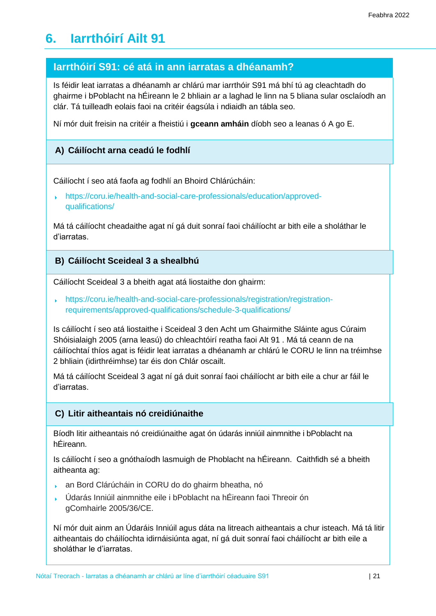# <span id="page-20-0"></span>**6. Iarrthóirí Ailt 91**

#### **Iarrthóirí S91: cé atá in ann iarratas a dhéanamh?**

Is féidir leat iarratas a dhéanamh ar chlárú mar iarrthóir S91 má bhí tú ag cleachtadh do ghairme i bPoblacht na hÉireann le 2 bhliain ar a laghad le linn na 5 bliana sular osclaíodh an clár. Tá tuilleadh eolais faoi na critéir éagsúla i ndiaidh an tábla seo.

Ní mór duit freisin na critéir a fheistiú i **gceann amháin** díobh seo a leanas ó A go E.

#### **A) Cáilíocht arna ceadú le fodhlí**

Cáilíocht í seo atá faofa ag [fodhlí an Bhoird Chlárúcháin:](https://coru.ie/health-and-social-care-professionals/education/approved-qualifications/)

[https://coru.ie/health-and-social-care-professionals/education/approved](https://coru.ie/health-and-social-care-professionals/education/approved-qualifications/)[qualifications/](https://coru.ie/health-and-social-care-professionals/education/approved-qualifications/)

Má tá cáilíocht cheadaithe agat ní gá duit sonraí faoi cháilíocht ar bith eile a sholáthar le d'iarratas.

#### **B) Cáilíocht Sceideal 3 a shealbhú**

Cáilíocht Sceideal 3 a bheith agat atá liostaithe don ghairm:

[https://coru.ie/health-and-social-care-professionals/registration/registration](https://coru.ie/health-and-social-care-professionals/registration/registration-requirements/approved-qualifications/schedule-3-qualifications/)[requirements/approved-qualifications/schedule-3-qualifications/](https://coru.ie/health-and-social-care-professionals/registration/registration-requirements/approved-qualifications/schedule-3-qualifications/)

Is cáilíocht í seo atá liostaithe i Sceideal 3 den Acht um Ghairmithe Sláinte agus Cúraim Shóisialaigh 2005 (arna leasú) do chleachtóirí reatha faoi Alt 91 . Má tá ceann de na cáilíochtaí thíos agat is féidir leat iarratas a dhéanamh ar chlárú le CORU le linn na tréimhse 2 bhliain (idirthréimhse) tar éis don Chlár oscailt.

Má tá cáilíocht Sceideal 3 agat ní gá duit sonraí faoi cháilíocht ar bith eile a chur ar fáil le d'iarratas.

#### **C) Litir aitheantais nó creidiúnaithe**

Bíodh litir aitheantais nó creidiúnaithe agat ón údarás inniúil ainmnithe i bPoblacht na hÉireann.

Is cáilíocht í seo a gnóthaíodh lasmuigh de Phoblacht na hÉireann. Caithfidh sé a bheith aitheanta ag:

- an Bord Clárúcháin in CORU do do ghairm bheatha, nó
- Údarás Inniúil ainmnithe eile i bPoblacht na hÉireann faoi Threoir ón gComhairle 2005/36/CE.

Ní mór duit ainm an Údaráis Inniúil agus dáta na litreach aitheantais a chur isteach. Má tá litir aitheantais do cháilíochta idirnáisiúnta agat, ní gá duit sonraí faoi cháilíocht ar bith eile a sholáthar le d'iarratas.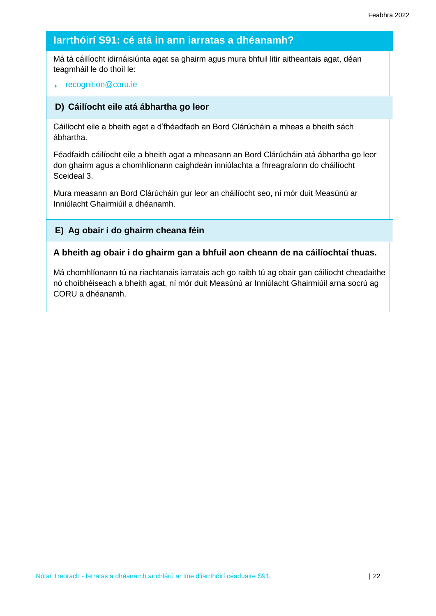## **Iarrthóirí S91: cé atá in ann iarratas a dhéanamh?**

Má tá cáilíocht idirnáisiúnta agat sa ghairm agus mura bhfuil litir aitheantais agat, déan teagmháil le do thoil le:

#### [recognition@coru.ie](mailto:recognition@coru.ie)

#### **D) Cáilíocht eile atá ábhartha go leor**

Cáilíocht eile a bheith agat a d'fhéadfadh an Bord Clárúcháin a mheas a bheith sách ábhartha.

Féadfaidh cáilíocht eile a bheith agat a mheasann an Bord Clárúcháin atá ábhartha go leor don ghairm agus a chomhlíonann caighdeán inniúlachta a fhreagraíonn do cháilíocht Sceideal 3.

Mura measann an Bord Clárúcháin gur leor an cháilíocht seo, ní mór duit Measúnú ar Inniúlacht Ghairmiúil a dhéanamh.

#### **E) Ag obair i do ghairm cheana féin**

#### **A bheith ag obair i do ghairm gan a bhfuil aon cheann de na cáilíochtaí thuas.**

Má chomhlíonann tú na riachtanais iarratais ach go raibh tú ag obair gan cáilíocht cheadaithe nó choibhéiseach a bheith agat, ní mór duit Measúnú ar Inniúlacht Ghairmiúil arna socrú ag CORU a dhéanamh.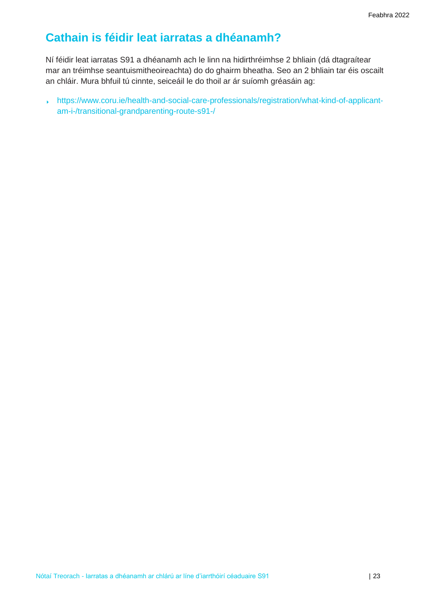## <span id="page-22-0"></span>**Cathain is féidir leat iarratas a dhéanamh?**

Ní féidir leat iarratas S91 a dhéanamh ach le linn na hidirthréimhse 2 bhliain (dá dtagraítear mar an tréimhse seantuismitheoireachta) do do ghairm bheatha. Seo an 2 bhliain tar éis oscailt an chláir. Mura bhfuil tú cinnte, seiceáil le do thoil ar ár suíomh gréasáin ag:

[https://www.coru.ie/health-and-social-care-professionals/registration/what-kind-of-applicant](https://www.coru.ie/health-and-social-care-professionals/registration/what-kind-of-applicant-am-i-/transitional-grandparenting-route-s91-/)[am-i-/transitional-grandparenting-route-s91-/](https://www.coru.ie/health-and-social-care-professionals/registration/what-kind-of-applicant-am-i-/transitional-grandparenting-route-s91-/)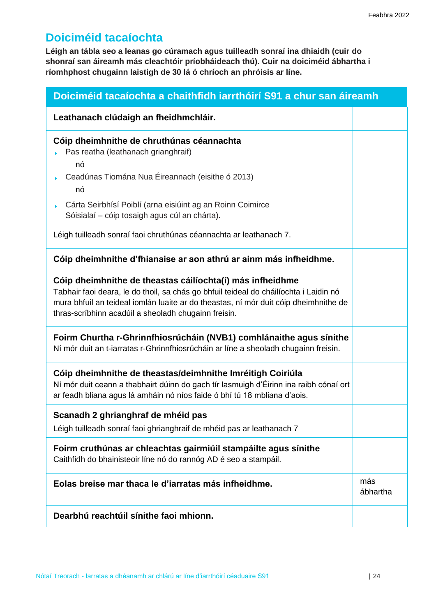## <span id="page-23-0"></span>**Doiciméid tacaíochta**

**Léigh an tábla seo a leanas go cúramach agus tuilleadh sonraí ina dhiaidh (cuir do shonraí san áireamh más cleachtóir príobháideach thú). Cuir na doiciméid ábhartha i ríomhphost chugainn laistigh de 30 lá ó chríoch an phróisis ar líne.**

| Doiciméid tacaíochta a chaithfidh iarrthóirí S91 a chur san áireamh                                                                                                                                                                                                                                                                   |  |  |  |
|---------------------------------------------------------------------------------------------------------------------------------------------------------------------------------------------------------------------------------------------------------------------------------------------------------------------------------------|--|--|--|
| Leathanach clúdaigh an fheidhmchláir.                                                                                                                                                                                                                                                                                                 |  |  |  |
| Cóip dheimhnithe de chruthúnas céannachta<br>Pas reatha (leathanach grianghraif)<br>nó<br>Ceadúnas Tiomána Nua Éireannach (eisithe ó 2013)<br>nó<br>Cárta Seirbhísí Poiblí (arna eisiúint ag an Roinn Coimirce<br>Sóisialaí - cóip tosaigh agus cúl an chárta).<br>Léigh tuilleadh sonraí faoi chruthúnas céannachta ar leathanach 7. |  |  |  |
| Cóip dheimhnithe d'fhianaise ar aon athrú ar ainm más infheidhme.                                                                                                                                                                                                                                                                     |  |  |  |
| Cóip dheimhnithe de theastas cáilíochta(í) más infheidhme<br>Tabhair faoi deara, le do thoil, sa chás go bhfuil teideal do cháilíochta i Laidin nó<br>mura bhfuil an teideal iomlán luaite ar do theastas, ní mór duit cóip dheimhnithe de<br>thras-scríbhinn acadúil a sheoladh chugainn freisin.                                    |  |  |  |
| Foirm Churtha r-Ghrinnfhiosrúcháin (NVB1) comhlánaithe agus sínithe<br>Ní mór duit an t-iarratas r-Ghrinnfhiosrúcháin ar líne a sheoladh chugainn freisin.                                                                                                                                                                            |  |  |  |
| Cóip dheimhnithe de theastas/deimhnithe Imréitigh Coiriúla<br>Ní mór duit ceann a thabhairt dúinn do gach tír lasmuigh d'Éirinn ina raibh cónaí ort<br>ar feadh bliana agus lá amháin nó níos faide ó bhí tú 18 mbliana d'aois.                                                                                                       |  |  |  |
| Scanadh 2 ghrianghraf de mhéid pas<br>Léigh tuilleadh sonraí faoi ghrianghraif de mhéid pas ar leathanach 7                                                                                                                                                                                                                           |  |  |  |
| Foirm cruthúnas ar chleachtas gairmiúil stampáilte agus sínithe<br>Caithfidh do bhainisteoir líne nó do rannóg AD é seo a stampáil.                                                                                                                                                                                                   |  |  |  |
| Eolas breise mar thaca le d'iarratas más infheidhme.                                                                                                                                                                                                                                                                                  |  |  |  |
| Dearbhú reachtúil sínithe faoi mhionn.                                                                                                                                                                                                                                                                                                |  |  |  |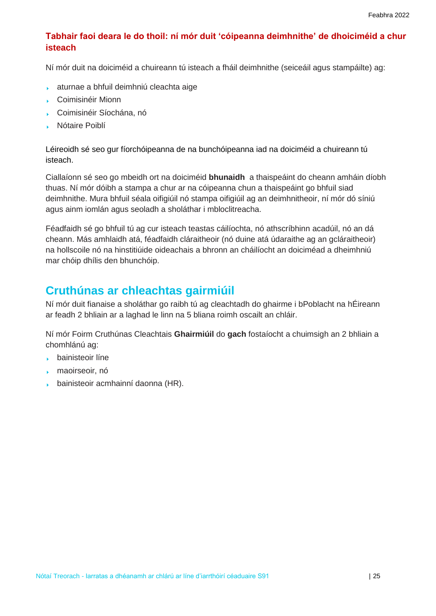#### **Tabhair faoi deara le do thoil: ní mór duit 'cóipeanna deimhnithe' de dhoiciméid a chur isteach**

Ní mór duit na doiciméid a chuireann tú isteach a fháil deimhnithe (seiceáil agus stampáilte) ag:

- aturnae a bhfuil deimhniú cleachta aige
- Coimisinéir Mionn
- Coimisinéir Síochána, nó
- Nótaire Poiblí k.

Léireoidh sé seo gur fíorchóipeanna de na bunchóipeanna iad na doiciméid a chuireann tú isteach.

Ciallaíonn sé seo go mbeidh ort na doiciméid **bhunaidh** a thaispeáint do cheann amháin díobh thuas. Ní mór dóibh a stampa a chur ar na cóipeanna chun a thaispeáint go bhfuil siad deimhnithe. Mura bhfuil séala oifigiúil nó stampa oifigiúil ag an deimhnitheoir, ní mór dó síniú agus ainm iomlán agus seoladh a sholáthar i mbloclitreacha.

Féadfaidh sé go bhfuil tú ag cur isteach teastas cáilíochta, nó athscríbhinn acadúil, nó an dá cheann. Más amhlaidh atá, féadfaidh cláraitheoir (nó duine atá údaraithe ag an gcláraitheoir) na hollscoile nó na hinstitiúide oideachais a bhronn an cháilíocht an doiciméad a dheimhniú mar chóip dhílis den bhunchóip.

## <span id="page-24-0"></span>**Cruthúnas ar chleachtas gairmiúil**

Ní mór duit fianaise a sholáthar go raibh tú ag cleachtadh do ghairme i bPoblacht na hÉireann ar feadh 2 bhliain ar a laghad le linn na 5 bliana roimh oscailt an chláir.

Ní mór Foirm Cruthúnas Cleachtais **Ghairmiúil** do **gach** fostaíocht a chuimsigh an 2 bhliain a chomhlánú ag:

- bainisteoir líne
- maoirseoir, nó
- bainisteoir acmhainní daonna (HR).s.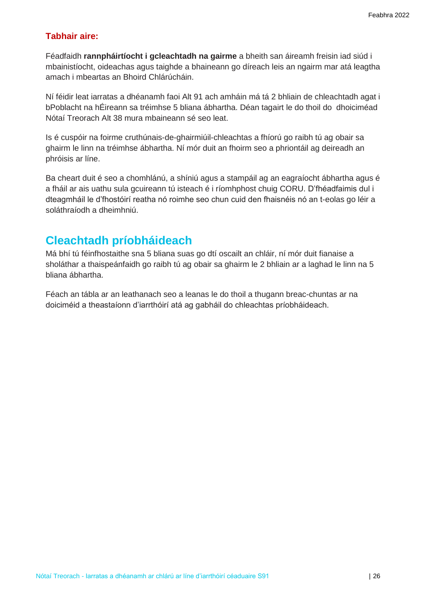#### **Tabhair aire:**

Féadfaidh **rannpháirtíocht i gcleachtadh na gairme** a bheith san áireamh freisin iad siúd i mbainistíocht, oideachas agus taighde a bhaineann go díreach leis an ngairm mar atá leagtha amach i mbeartas an Bhoird Chlárúcháin.

Ní féidir leat iarratas a dhéanamh faoi Alt 91 ach amháin má tá 2 bhliain de chleachtadh agat i bPoblacht na hÉireann sa tréimhse 5 bliana ábhartha. Déan tagairt le do thoil do dhoiciméad Nótaí Treorach Alt 38 mura mbaineann sé seo leat.

Is é cuspóir na foirme cruthúnais-de-ghairmiúil-chleachtas a fhíorú go raibh tú ag obair sa ghairm le linn na tréimhse ábhartha. Ní mór duit an fhoirm seo a phriontáil ag deireadh an phróisis ar líne.

Ba cheart duit é seo a chomhlánú, a shíniú agus a stampáil ag an eagraíocht ábhartha agus é a fháil ar ais uathu sula gcuireann tú isteach é i ríomhphost chuig CORU. D'fhéadfaimis dul i dteagmháil le d'fhostóirí reatha nó roimhe seo chun cuid den fhaisnéis nó an t-eolas go léir a soláthraíodh a dheimhniú.

## <span id="page-25-0"></span>**Cleachtadh príobháideach**

Má bhí tú féinfhostaithe sna 5 bliana suas go dtí oscailt an chláir, ní mór duit fianaise a sholáthar a thaispeánfaidh go raibh tú ag obair sa ghairm le 2 bhliain ar a laghad le linn na 5 bliana ábhartha.

Féach an tábla ar an leathanach seo a leanas le do thoil a thugann breac-chuntas ar na doiciméid a theastaíonn d'iarrthóirí atá ag gabháil do chleachtas príobháideach.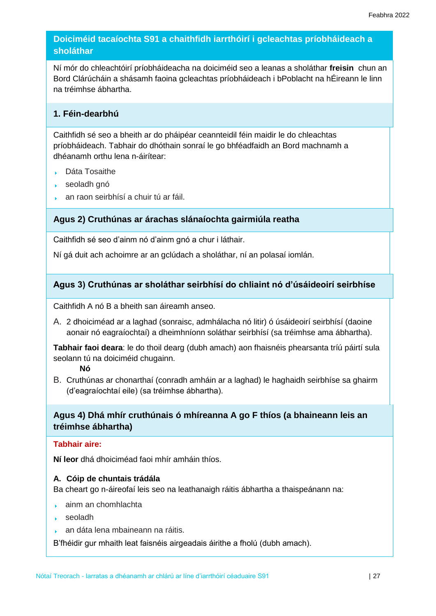#### **Doiciméid tacaíochta S91 a chaithfidh iarrthóirí i gcleachtas príobháideach a sholáthar**

Ní mór do chleachtóirí príobháideacha na doiciméid seo a leanas a sholáthar **freisin** chun an Bord Clárúcháin a shásamh faoina gcleachtas príobháideach i bPoblacht na hÉireann le linn na tréimhse ábhartha.

#### **1. Féin-dearbhú**

Caithfidh sé seo a bheith ar do pháipéar ceannteidil féin maidir le do chleachtas príobháideach. Tabhair do dhóthain sonraí le go bhféadfaidh an Bord machnamh a dhéanamh orthu lena n-áirítear:

- Dáta Tosaithe
- seoladh gnó
- an raon seirbhísí a chuir tú ar fáil.

#### **Agus 2) Cruthúnas ar árachas slánaíochta gairmiúla reatha**

Caithfidh sé seo d'ainm nó d'ainm gnó a chur i láthair.

Ní gá duit ach achoimre ar an gclúdach a sholáthar, ní an polasaí iomlán.

#### **Agus 3) Cruthúnas ar sholáthar seirbhísí do chliaint nó d'úsáideoirí seirbhíse**

Caithfidh A nó B a bheith san áireamh anseo.

A. 2 dhoiciméad ar a laghad (sonraisc, admhálacha nó litir) ó úsáideoirí seirbhísí (daoine aonair nó eagraíochtaí) a dheimhníonn soláthar seirbhísí (sa tréimhse ama ábhartha).

**Tabhair faoi deara**: le do thoil dearg (dubh amach) aon fhaisnéis phearsanta tríú páirtí sula seolann tú na doiciméid chugainn.

**Nó**

B. Cruthúnas ar chonarthaí (conradh amháin ar a laghad) le haghaidh seirbhíse sa ghairm (d'eagraíochtaí eile) (sa tréimhse ábhartha).

#### **Agus 4) Dhá mhír cruthúnais ó mhíreanna A go F thíos (a bhaineann leis an tréimhse ábhartha)**

#### **Tabhair aire:**

**Ní leor** dhá dhoiciméad faoi mhír amháin thíos.

#### **A. Cóip de chuntais trádála**

Ba cheart go n-áireofaí leis seo na leathanaigh ráitis ábhartha a thaispeánann na:

- ainm an chomhlachta
- seoladh
- an dáta lena mbaineann na ráitis. ¥.

B'fhéidir gur mhaith leat faisnéis airgeadais áirithe a fholú (dubh amach).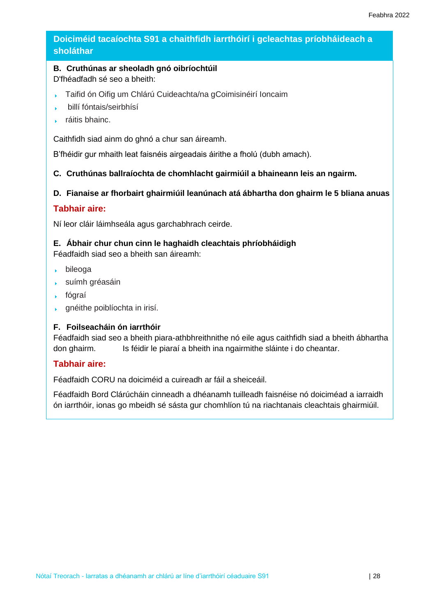#### **Doiciméid tacaíochta S91 a chaithfidh iarrthóirí i gcleachtas príobháideach a sholáthar**

#### **B. Cruthúnas ar sheoladh gnó oibríochtúil**

D'fhéadfadh sé seo a bheith:

- Taifid ón Oifig um Chlárú Cuideachta/na gCoimisinéirí Ioncaim  $\ddot{\phantom{1}}$
- billí fóntais/seirbhísí ¥
- ráitis bhainc. ¥

Caithfidh siad ainm do ghnó a chur san áireamh.

B'fhéidir gur mhaith leat faisnéis airgeadais áirithe a fholú (dubh amach).

#### **C. Cruthúnas ballraíochta de chomhlacht gairmiúil a bhaineann leis an ngairm.**

#### **D. Fianaise ar fhorbairt ghairmiúil leanúnach atá ábhartha don ghairm le 5 bliana anuas**

#### **Tabhair aire:**

Ní leor cláir láimhseála agus garchabhrach ceirde.

#### **E. Ábhair chur chun cinn le haghaidh cleachtais phríobháidigh**

Féadfaidh siad seo a bheith san áireamh:

- bileoga
- suímh gréasáin
- fógraí
- gnéithe poiblíochta in irisí.

#### **F. Foilseacháin ón iarrthóir**

Féadfaidh siad seo a bheith piara-athbhreithnithe nó eile agus caithfidh siad a bheith ábhartha don ghairm. Is féidir le piaraí a bheith ina ngairmithe sláinte i do cheantar.

#### **Tabhair aire:**

Féadfaidh CORU na doiciméid a cuireadh ar fáil a sheiceáil.

Féadfaidh Bord Clárúcháin cinneadh a dhéanamh tuilleadh faisnéise nó doiciméad a iarraidh ón iarrthóir, ionas go mbeidh sé sásta gur chomhlíon tú na riachtanais cleachtais ghairmiúil.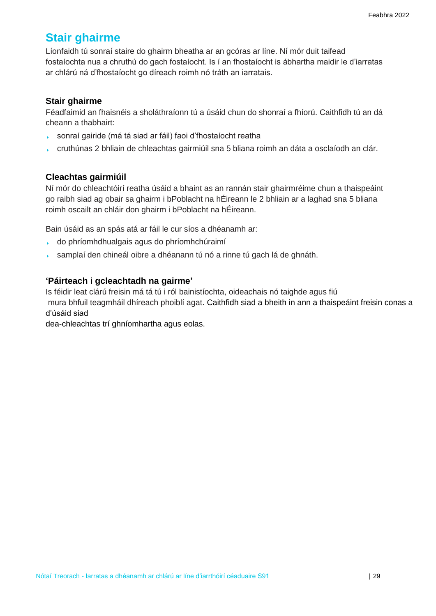## <span id="page-28-0"></span>**Stair ghairme**

Líonfaidh tú sonraí staire do ghairm bheatha ar an gcóras ar líne. Ní mór duit taifead fostaíochta nua a chruthú do gach fostaíocht. Is í an fhostaíocht is ábhartha maidir le d'iarratas ar chlárú ná d'fhostaíocht go díreach roimh nó tráth an iarratais.

#### **Stair ghairme**

Féadfaimid an fhaisnéis a sholáthraíonn tú a úsáid chun do shonraí a fhíorú. Caithfidh tú an dá cheann a thabhairt:

- sonraí gairide (má tá siad ar fáil) faoi d'fhostaíocht reatha  $\mathbf{F}^{\text{max}}$
- cruthúnas 2 bhliain de chleachtas gairmiúil sna 5 bliana roimh an dáta a osclaíodh an clár.

#### **Cleachtas gairmiúil**

Ní mór do chleachtóirí reatha úsáid a bhaint as an rannán stair ghairmréime chun a thaispeáint go raibh siad ag obair sa ghairm i bPoblacht na hÉireann le 2 bhliain ar a laghad sna 5 bliana roimh oscailt an chláir don ghairm i bPoblacht na hÉireann.

Bain úsáid as an spás atá ar fáil le cur síos a dhéanamh ar:

- do phríomhdhualgais agus do phríomhchúraimí
- samplaí den chineál oibre a dhéanann tú nó a rinne tú gach lá de ghnáth. k.

#### **'Páirteach i gcleachtadh na gairme'**

Is féidir leat clárú freisin má tá tú i ról bainistíochta, oideachais nó taighde agus fiú mura bhfuil teagmháil dhíreach phoiblí agat. Caithfidh siad a bheith in ann a thaispeáint freisin conas a d'úsáid siad

dea-chleachtas trí ghníomhartha agus eolas.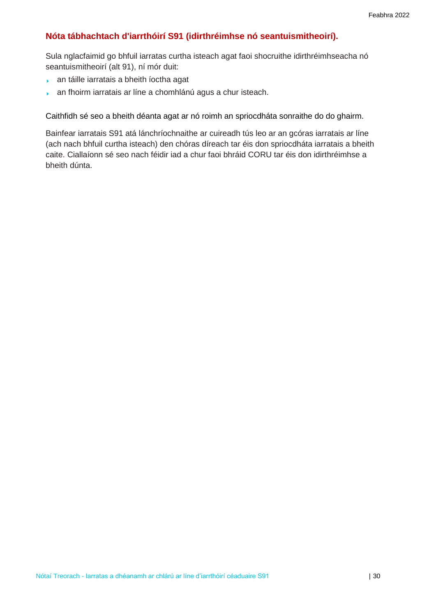#### **Nóta tábhachtach d'iarrthóirí S91 (idirthréimhse nó seantuismitheoirí).**

Sula nglacfaimid go bhfuil iarratas curtha isteach agat faoi shocruithe idirthréimhseacha nó seantuismitheoirí (alt 91), ní mór duit:

- an táille iarratais a bheith íoctha agat  $\mathbf{F}^{\pm}$
- an fhoirm iarratais ar líne a chomhlánú agus a chur isteach. k.

Caithfidh sé seo a bheith déanta agat ar nó roimh an spriocdháta sonraithe do do ghairm.

Bainfear iarratais S91 atá lánchríochnaithe ar cuireadh tús leo ar an gcóras iarratais ar líne (ach nach bhfuil curtha isteach) den chóras díreach tar éis don spriocdháta iarratais a bheith caite. Ciallaíonn sé seo nach féidir iad a chur faoi bhráid CORU tar éis don idirthréimhse a bheith dúnta.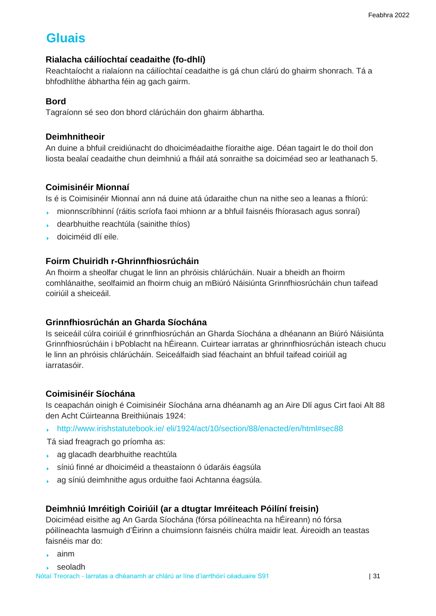# <span id="page-30-0"></span> **Gluais**

#### **Rialacha cáilíochtaí ceadaithe (fo-dhlí)**

Reachtaíocht a rialaíonn na cáilíochtaí ceadaithe is gá chun clárú do ghairm shonrach. Tá a bhfodhlíthe ábhartha féin ag gach gairm.

#### **Bord**

Tagraíonn sé seo don bhord clárúcháin don ghairm ábhartha.

#### **Deimhnitheoir**

An duine a bhfuil creidiúnacht do dhoiciméadaithe fíoraithe aige. Déan tagairt le do thoil don liosta bealaí ceadaithe chun deimhniú a fháil atá sonraithe sa doiciméad seo ar leathanach 5.

#### **Coimisinéir Mionnaí**

Is é is Coimisinéir Mionnaí ann ná duine atá údaraithe chun na nithe seo a leanas a fhíorú:

- mionnscríbhinní (ráitis scríofa faoi mhionn ar a bhfuil faisnéis fhíorasach agus sonraí)  $\mathbf{F}^{\text{max}}$
- dearbhuithe reachtúla (sainithe thíos)
- doiciméid dlí eile.

#### **Foirm Chuiridh r-Ghrinnfhiosrúcháin**

An fhoirm a sheolfar chugat le linn an phróisis chlárúcháin. Nuair a bheidh an fhoirm comhlánaithe, seolfaimid an fhoirm chuig an mBiúró Náisiúnta Grinnfhiosrúcháin chun taifead coiriúil a sheiceáil.

#### **Grinnfhiosrúchán an Gharda Síochána**

Is seiceáil cúlra coiriúil é grinnfhiosrúchán an Gharda Síochána a dhéanann an Biúró Náisiúnta Grinnfhiosrúcháin i bPoblacht na hÉireann. Cuirtear iarratas ar ghrinnfhiosrúchán isteach chucu le linn an phróisis chlárúcháin. Seiceálfaidh siad féachaint an bhfuil taifead coiriúil ag iarratasóir.

#### **Coimisinéir Síochána**

Is ceapachán oinigh é Coimisinéir Síochána arna dhéanamh ag an Aire Dlí agus Cirt faoi [Alt 88](http://www.irishstatutebook.ie/%20eli/1924/act/10/section/88/enacted/en/html#sec88)  [den Acht Cúirteanna Breithiúnais 1924:](http://www.irishstatutebook.ie/%20eli/1924/act/10/section/88/enacted/en/html#sec88)

[http://www.irishstatutebook.ie/ eli/1924/act/10/section/88/enacted/en/html#sec88](https://www.irishstatutebook.ie/eli/1924/act/10/section/88/enacted/en/html)

Tá siad freagrach go príomha as:

- ag glacadh dearbhuithe reachtúla
- síniú finné ar dhoiciméid a theastaíonn ó údaráis éagsúla
- ag síniú deimhnithe agus orduithe faoi Achtanna éagsúla. k.

#### **Deimhniú Imréitigh Coiriúil (ar a dtugtar Imréiteach Póilíní freisin)**

Doiciméad eisithe ag An Garda Síochána (fórsa póilíneachta na hÉireann) nó fórsa póilíneachta lasmuigh d'Éirinn a chuimsíonn faisnéis chúlra maidir leat. Áireoidh an teastas faisnéis mar do:

- ainm
- seoladh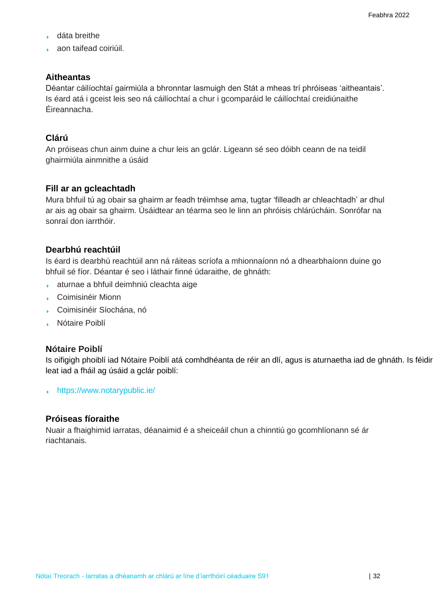- dáta breithe
- aon taifead coiriúil.

#### **Aitheantas**

Déantar cáilíochtaí gairmiúla a bhronntar lasmuigh den Stát a mheas trí phróiseas 'aitheantais'. Is éard atá i gceist leis seo ná cáilíochtaí a chur i gcomparáid le cáilíochtaí creidiúnaithe Éireannacha.

#### **Clárú**

An próiseas chun ainm duine a chur leis an gclár. Ligeann sé seo dóibh ceann de na teidil ghairmiúla ainmnithe a úsáid

#### **Fill ar an gcleachtadh**

Mura bhfuil tú ag obair sa ghairm ar feadh tréimhse ama, tugtar 'filleadh ar chleachtadh' ar dhul ar ais ag obair sa ghairm. Úsáidtear an téarma seo le linn an phróisis chlárúcháin. Sonrófar na sonraí don iarrthóir.

#### **Dearbhú reachtúil**

Is éard is dearbhú reachtúil ann ná ráiteas scríofa a mhionnaíonn nó a dhearbhaíonn duine go bhfuil sé fíor. Déantar é seo i láthair finné údaraithe, de ghnáth:

- aturnae a bhfuil deimhniú cleachta aige
- Coimisinéir Mionn
- Coimisinéir Síochána, nó
- **Nótaire Poiblí**

#### **Nótaire Poiblí**

Is oifigigh phoiblí iad Nótaire Poiblí atá comhdhéanta de réir an dlí, agus is aturnaetha iad de ghnáth. Is féidir leat iad a fháil ag úsáid a [gclár poiblí:](https://www.notarypublic.ie/)

[https://www.notarypublic.ie/](http://www.notarypublic.ie/))

#### **Próiseas fíoraithe**

Nuair a fhaighimid iarratas, déanaimid é a sheiceáil chun a chinntiú go gcomhlíonann sé ár riachtanais.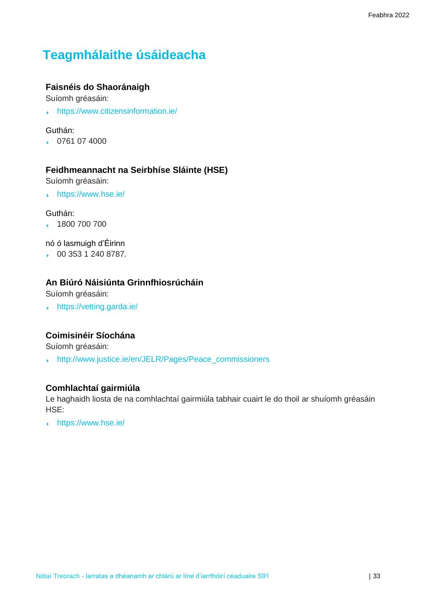# <span id="page-32-0"></span> **Teagmhálaithe úsáideacha**

#### **Faisnéis do Shaoránaigh**

Suíomh gréasáin:

[https://www.citizensinformation.ie/](http://www.citizensinformation.ie/)

#### Guthán:

0761 07 4000

#### **Feidhmeannacht na Seirbhíse Sláinte (HSE)**

Suíomh gréasáin:

[https://www.](http://www.hse.ie/)hse.ie/

#### Guthán:

1800 700 700

nó ó lasmuigh d'Éirinn

00 353 1 240 8787.

#### **An Biúró Náisiúnta Grinnfhiosrúcháin**

Suíomh gréasáin:

<https://vetting.garda.ie/>

#### **Coimisinéir Síochána**

Suíomh gréasáin:

[http://www.justice.ie/en/JELR/Pages/Peace\\_commissioners](http://www.justice.ie/en/JELR/Pages/Peace_commissioners)

#### **Comhlachtaí gairmiúla**

Le haghaidh liosta de na comhlachtaí gairmiúla tabhair cuairt le do thoil ar shuíomh gréasáin HSE:

<https://www.hse.ie/>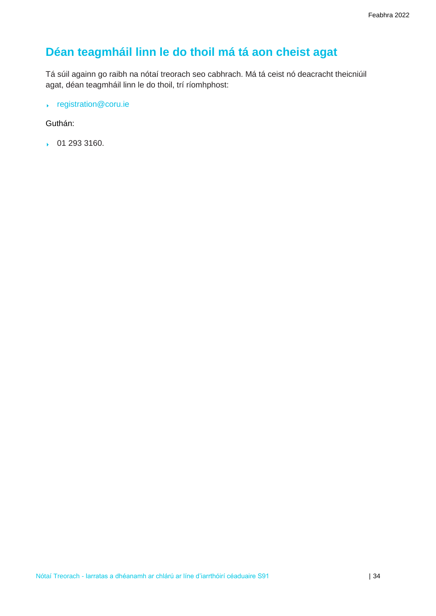# <span id="page-33-0"></span>**Déan teagmháil linn le do thoil má tá aon cheist agat**

Tá súil againn go raibh na nótaí treorach seo cabhrach. Má tá ceist nó deacracht theicniúil agat, déan teagmháil linn le do thoil, trí ríomhphost:

[registration@coru.ie](mailto:registration@coru.ie)

#### Guthán:

01 293 3160.